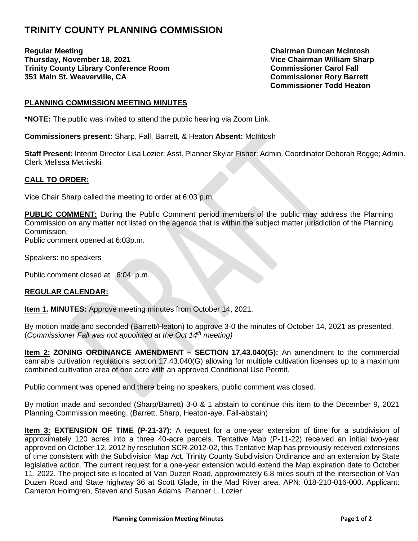## **TRINITY COUNTY PLANNING COMMISSION**

**Regular Meeting Chairman Duncan McIntosh Thursday, November 18, 2021 Vice Chairman William Sharp Trinity County Library Conference Room Commissioner Carol Fall 351 Main St. Weaverville, CA Commissioner Rory Barrett** 

**Commissioner Todd Heaton** 

## **PLANNING COMMISSION MEETING MINUTES**

**\*NOTE:** The public was invited to attend the public hearing via Zoom Link.

**Commissioners present:** Sharp, Fall, Barrett, & Heaton **Absent:** McIntosh

**Staff Present:** Interim Director Lisa Lozier; Asst. Planner Skylar Fisher; Admin. Coordinator Deborah Rogge; Admin. Clerk Melissa Metrivski

## **CALL TO ORDER:**

Vice Chair Sharp called the meeting to order at 6:03 p.m.

**PUBLIC COMMENT:** During the Public Comment period members of the public may address the Planning Commission on any matter not listed on the agenda that is within the subject matter jurisdiction of the Planning Commission.

Public comment opened at 6:03p.m.

Speakers: no speakers

Public comment closed at 6:04 p.m.

## **REGULAR CALENDAR:**

**Item 1. MINUTES:** Approve meeting minutes from October 14, 2021.

By motion made and seconded (Barrett/Heaton) to approve 3-0 the minutes of October 14, 2021 as presented. (*Commissioner Fall was not appointed at the Oct 14th meeting)* 

**Item 2: ZONING ORDINANCE AMENDMENT – SECTION 17.43.040(G):** An amendment to the commercial cannabis cultivation regulations section 17.43.040(G) allowing for multiple cultivation licenses up to a maximum combined cultivation area of one acre with an approved Conditional Use Permit.

Public comment was opened and there being no speakers, public comment was closed.

By motion made and seconded (Sharp/Barrett) 3-0 & 1 abstain to continue this item to the December 9, 2021 Planning Commission meeting. (Barrett, Sharp, Heaton-aye. Fall-abstain)

**Item 3: EXTENSION OF TIME (P-21-37):** A request for a one-year extension of time for a subdivision of approximately 120 acres into a three 40-acre parcels. Tentative Map (P-11-22) received an initial two-year approved on October 12, 2012 by resolution SCR-2012-02, this Tentative Map has previously received extensions of time consistent with the Subdivision Map Act, Trinity County Subdivision Ordinance and an extension by State legislative action. The current request for a one-year extension would extend the Map expiration date to October 11, 2022. The project site is located at Van Duzen Road, approximately 6.8 miles south of the intersection of Van Duzen Road and State highway 36 at Scott Glade, in the Mad River area. APN: 018-210-016-000. Applicant: Cameron Holmgren, Steven and Susan Adams. Planner L. Lozier